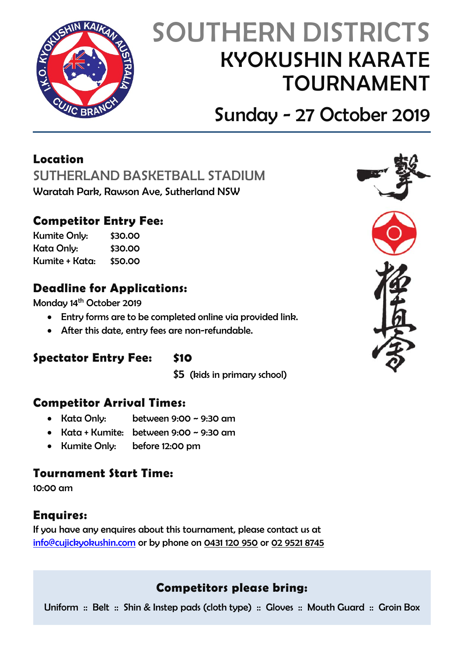

# SOUTHERN DISTRICTS KYOKUSHIN KARATE TOURNAMENT

Sunday - 27 October 2019

#### **Location**

SUTHERLAND BASKETBALL STADIUM Waratah Park, Rawson Ave, Sutherland NSW

#### **Competitor Entry Fee:**

Kumite Only: \$30.00 Kata Only: \$30.00 Kumite + Kata: \$50.00

## **Deadline for Applications:**

Monday 14<sup>th</sup> October 2019

- Entry forms are to be completed online via provided link.
- After this date, entry fees are non-refundable.

## **Spectator Entry Fee: \$10**

\$5 (kids in primary school)

## **Competitor Arrival Times:**

- Kata Only: between 9:00 ~ 9:30 am
- Kata + Kumite: between 9:00 ~ 9:30 am
- Kumite Only: before 12:00 pm

## **Tournament Start Time:**

10:00 am

#### **Enquires:**

If you have any enquires about this tournament, please contact us at info@cujickyokushin.com or by phone on 0431 120 950 or 02 9521 8745

## **Competitors please bring:**

Uniform :: Belt :: Shin & Instep pads (cloth type) :: Gloves :: Mouth Guard :: Groin Box